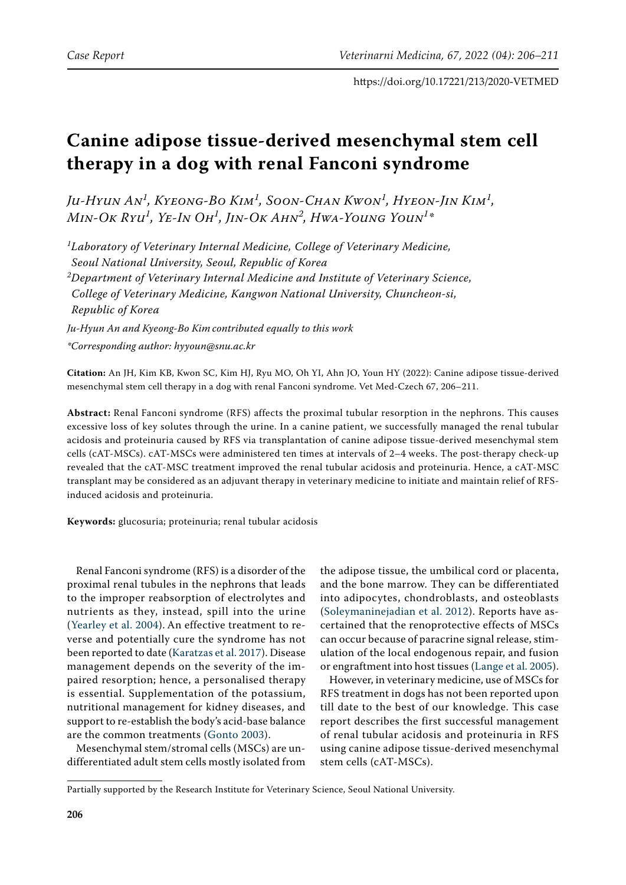# **Canine adipose tissue-derived mesenchymal stem cell therapy in a dog with renal Fanconi syndrome**

*Ju-Hyun An<sup>1</sup> , Kyeong-Bo Kim<sup>1</sup> , Soon-Chan Kwon<sup>1</sup> , Hyeon-Jin Kim<sup>1</sup> , Min-Ok Ryu<sup>1</sup> , Ye-In Oh<sup>1</sup> , Jin-Ok Ahn<sup>2</sup> , Hwa-Young Youn<sup>1</sup> \**

*1 Laboratory of Veterinary Internal Medicine, College of Veterinary Medicine, Seoul National University, Seoul, Republic of Korea 2 Department of Veterinary Internal Medicine and Institute of Veterinary Science, College of Veterinary Medicine, Kangwon National University, Chuncheon-si, Republic of Korea*

*Ju-Hyun An and Kyeong-Bo Kim contributed equally to this work \*Corresponding author: hyyoun@snu.ac.kr*

**Citation:** An JH, Kim KB, Kwon SC, Kim HJ, Ryu MO, Oh YI, Ahn JO, Youn HY (2022): Canine adipose tissue-derived mesenchymal stem cell therapy in a dog with renal Fanconi syndrome. Vet Med-Czech 67, 206–211.

**Abstract:** Renal Fanconi syndrome (RFS) affects the proximal tubular resorption in the nephrons. This causes excessive loss of key solutes through the urine. In a canine patient, we successfully managed the renal tubular acidosis and proteinuria caused by RFS via transplantation of canine adipose tissue-derived mesenchymal stem cells (cAT-MSCs). cAT-MSCs were administered ten times at intervals of 2–4 weeks. The post-therapy check-up revealed that the cAT-MSC treatment improved the renal tubular acidosis and proteinuria. Hence, a cAT-MSC transplant may be considered as an adjuvant therapy in veterinary medicine to initiate and maintain relief of RFSinduced acidosis and proteinuria.

**Keywords:** glucosuria; proteinuria; renal tubular acidosis

Renal Fanconi syndrome (RFS) is a disorder of the proximal renal tubules in the nephrons that leads to the improper reabsorption of electrolytes and nutrients as they, instead, spill into the urine ([Yearley et al. 2004\)](#page-5-0). An effective treatment to reverse and potentially cure the syndrome has not been reported to date ([Karatzas et al. 2017\)](#page-5-1). Disease management depends on the severity of the impaired resorption; hence, a personalised therapy is essential. Supplementation of the potassium, nutritional management for kidney diseases, and support to re-establish the body's acid-base balance are the common treatments [\(Gonto 2003](#page-5-2)).

Mesenchymal stem/stromal cells (MSCs) are undifferentiated adult stem cells mostly isolated from

the adipose tissue, the umbilical cord or placenta, and the bone marrow. They can be differentiated into adipocytes, chondroblasts, and osteoblasts [\(Soleymaninejadian et al. 2012\)](#page-5-3). Reports have ascertained that the renoprotective effects of MSCs can occur because of paracrine signal release, stimulation of the local endogenous repair, and fusion or engraftment into host tissues ([Lange et al. 2005\)](#page-5-4).

However, in veterinary medicine, use of MSCs for RFS treatment in dogs has not been reported upon till date to the best of our knowledge. This case report describes the first successful management of renal tubular acidosis and proteinuria in RFS using canine adipose tissue-derived mesenchymal stem cells (cAT-MSCs).

Partially supported by the Research Institute for Veterinary Science, Seoul National University.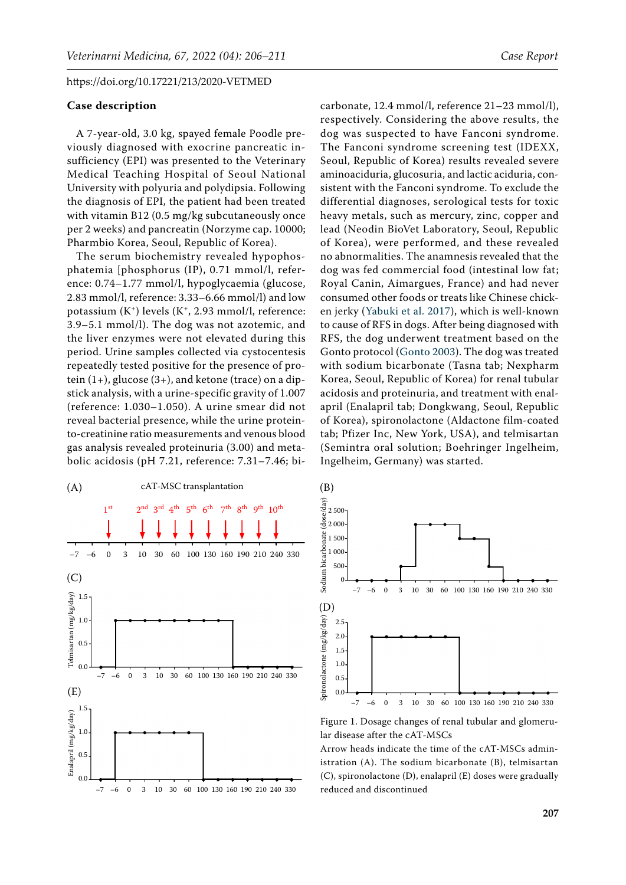#### **Case description**

A 7-year-old, 3.0 kg, spayed female Poodle previously diagnosed with exocrine pancreatic insufficiency (EPI) was presented to the Veterinary Medical Teaching Hospital of Seoul National University with polyuria and polydipsia. Following the diagnosis of EPI, the patient had been treated with vitamin B12 (0.5 mg/kg subcutaneously once per 2 weeks) and pancreatin (Norzyme cap. 10000; Pharmbio Korea, Seoul, Republic of Korea).

The serum biochemistry revealed hypophosphatemia [phosphorus (IP), 0.71 mmol/l, reference: 0.74–1.77 mmol/l, hypoglycaemia (glucose, 2.83 mmol/l, reference: 3.33–6.66 mmol/l) and low potassium  $(K^+)$  levels  $(K^+, 2.93$  mmol/l, reference: 3.9–5.1 mmol/l). The dog was not azotemic, and the liver enzymes were not elevated during this period. Urine samples collected via cystocentesis repeatedly tested positive for the presence of protein  $(1+)$ , glucose  $(3+)$ , and ketone (trace) on a dipstick analysis, with a urine-specific gravity of 1.007 (reference: 1.030–1.050). A urine smear did not reveal bacterial presence, while the urine proteinto-creatinine ratio measurements and venous blood gas analysis revealed proteinuria (3.00) and metabolic acidosis (pH 7.21, reference: 7.31–7.46; bi-

<span id="page-1-0"></span>

carbonate, 12.4 mmol/l, reference 21–23 mmol/l), respectively. Considering the above results, the dog was suspected to have Fanconi syndrome. The Fanconi syndrome screening test (IDEXX, Seoul, Republic of Korea) results revealed severe aminoaciduria, glucosuria, and lactic aciduria, consistent with the Fanconi syndrome. To exclude the differential diagnoses, serological tests for toxic heavy metals, such as mercury, zinc, copper and lead (Neodin BioVet Laboratory, Seoul, Republic of Korea), were performed, and these revealed no abnormalities. The anamnesis revealed that the dog was fed commercial food (intestinal low fat; Royal Canin, Aimargues, France) and had never consumed other foods or treats like Chinese chicken jerky ([Yabuki et al. 2017\)](#page-5-5), which is well-known to cause of RFS in dogs. After being diagnosed with RFS, the dog underwent treatment based on the Gonto protocol ([Gonto 2003](#page-5-2)). The dog was treated with sodium bicarbonate (Tasna tab; Nexpharm Korea, Seoul, Republic of Korea) for renal tubular acidosis and proteinuria, and treatment with enalapril (Enalapril tab; Dongkwang, Seoul, Republic of Korea), spironolactone (Aldactone film-coated tab; Pfizer Inc, New York, USA), and telmisartan (Semintra oral solution; Boehringer Ingelheim, Ingelheim, Germany) was started.



Figure 1. Dosage changes of renal tubular and glomerular disease after the cAT-MSCs

Arrow heads indicate the time of the cAT-MSCs administration (A). The sodium bicarbonate (B), telmisartan (C), spironolactone (D), enalapril (E) doses were gradually reduced and discontinued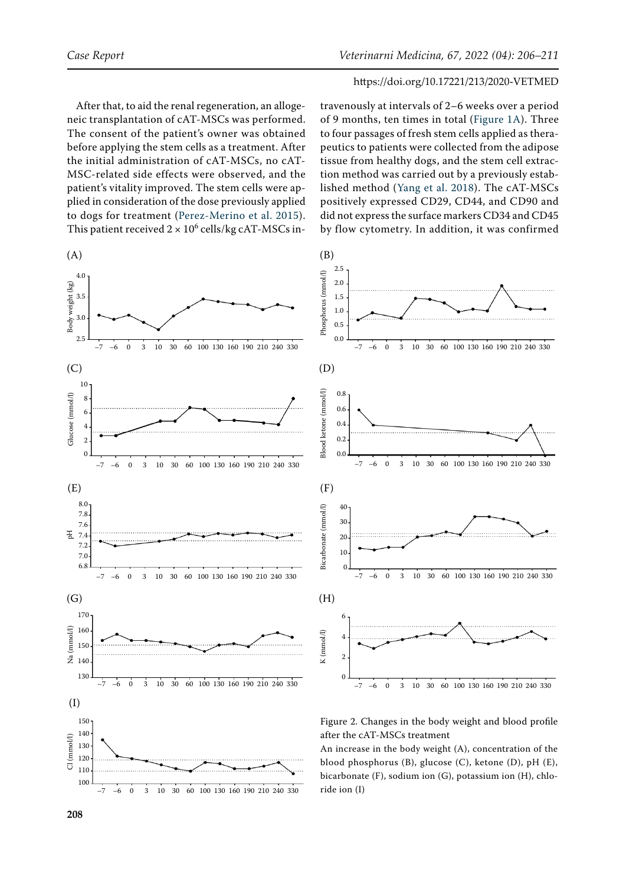4.0

travenously at intervals of 2–6 weeks over a period of 9 months, ten times in total [\(Figure 1A](#page-1-0)). Three to four passages of fresh stem cells applied as therapeutics to patients were collected from the adipose tissue from healthy dogs, and the stem cell extraction method was carried out by a previously established method ([Yang et al. 2018\)](#page-5-7). The cAT-MSCs positively expressed CD29, CD44, and CD90 and did not express the surface markers CD34 and CD45 by flow cytometry. In addition, it was confirmed

#### https://doi.org/10.17221/213/2020-VETMED

After that, to aid the renal regeneration, an allogeneic transplantation of cAT-MSCs was performed. The consent of the patient's owner was obtained before applying the stem cells as a treatment. After the initial administration of cAT-MSCs, no cAT-MSC-related side effects were observed, and the patient's vitality improved. The stem cells were applied in consideration of the dose previously applied to dogs for treatment ([Perez-Merino et al. 2015](#page-5-6)). This patient received  $2 \times 10^6$  cells/kg cAT-MSCs in-

<span id="page-2-0"></span>

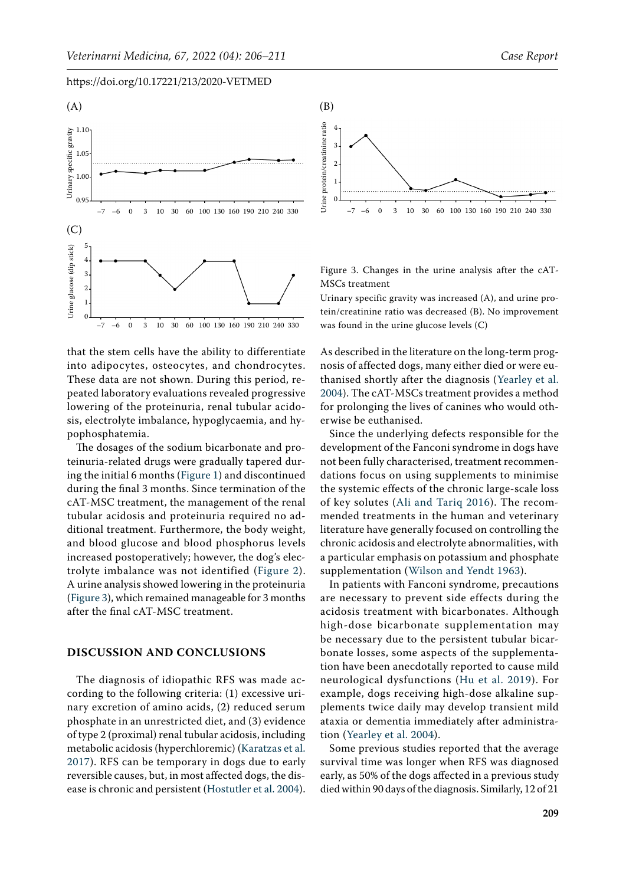<span id="page-3-0"></span>

that the stem cells have the ability to differentiate into adipocytes, osteocytes, and chondrocytes. These data are not shown. During this period, repeated laboratory evaluations revealed progressive lowering of the proteinuria, renal tubular acidosis, electrolyte imbalance, hypoglycaemia, and hypophosphatemia.

The dosages of the sodium bicarbonate and proteinuria-related drugs were gradually tapered during the initial 6 months ([Figure 1\)](#page-1-0) and discontinued during the final 3 months. Since termination of the cAT-MSC treatment, the management of the renal tubular acidosis and proteinuria required no additional treatment. Furthermore, the body weight, and blood glucose and blood phosphorus levels increased postoperatively; however, the dog's electrolyte imbalance was not identified ([Figure 2](#page-2-0)). A urine analysis showed lowering in the proteinuria [\(Figure 3](#page-3-0)), which remained manageable for 3 months after the final cAT-MSC treatment.

## **DISCUSSION AND CONCLUSIONS**

The diagnosis of idiopathic RFS was made according to the following criteria: (1) excessive urinary excretion of amino acids, (2) reduced serum phosphate in an unrestricted diet, and (3) evidence of type 2 (proximal) renal tubular acidosis, including metabolic acidosis (hyperchloremic) ([Karatzas et al.](#page-5-1)  [2017\)](#page-5-1). RFS can be temporary in dogs due to early reversible causes, but, in most affected dogs, the disease is chronic and persistent ([Hostutler et al. 2004\)](#page-5-8).



Figure 3. Changes in the urine analysis after the cAT-MSCs treatment

Urinary specific gravity was increased (A), and urine protein/creatinine ratio was decreased (B). No improvement was found in the urine glucose levels (C)

As described in the literature on the long-term prognosis of affected dogs, many either died or were euthanised shortly after the diagnosis ([Yearley et al.](#page-5-0) [2004](#page-5-0)). The cAT-MSCs treatment provides a method for prolonging the lives of canines who would otherwise be euthanised.

Since the underlying defects responsible for the development of the Fanconi syndrome in dogs have not been fully characterised, treatment recommendations focus on using supplements to minimise the systemic effects of the chronic large-scale loss of key solutes ([Ali and Tariq 2016](#page-4-0)). The recommended treatments in the human and veterinary literature have generally focused on controlling the chronic acidosis and electrolyte abnormalities, with a particular emphasis on potassium and phosphate supplementation ([Wilson and Yendt 1963\)](#page-5-9).

In patients with Fanconi syndrome, precautions are necessary to prevent side effects during the acidosis treatment with bicarbonates. Although high-dose bicarbonate supplementation may be necessary due to the persistent tubular bicarbonate losses, some aspects of the supplementation have been anecdotally reported to cause mild neurological dysfunctions ([Hu et al. 2019\)](#page-5-10). For example, dogs receiving high-dose alkaline supplements twice daily may develop transient mild ataxia or dementia immediately after administration ([Yearley et al. 2004\)](#page-5-0).

Some previous studies reported that the average survival time was longer when RFS was diagnosed early, as 50% of the dogs affected in a previous study died within 90 days of the diagnosis. Similarly, 12 of 21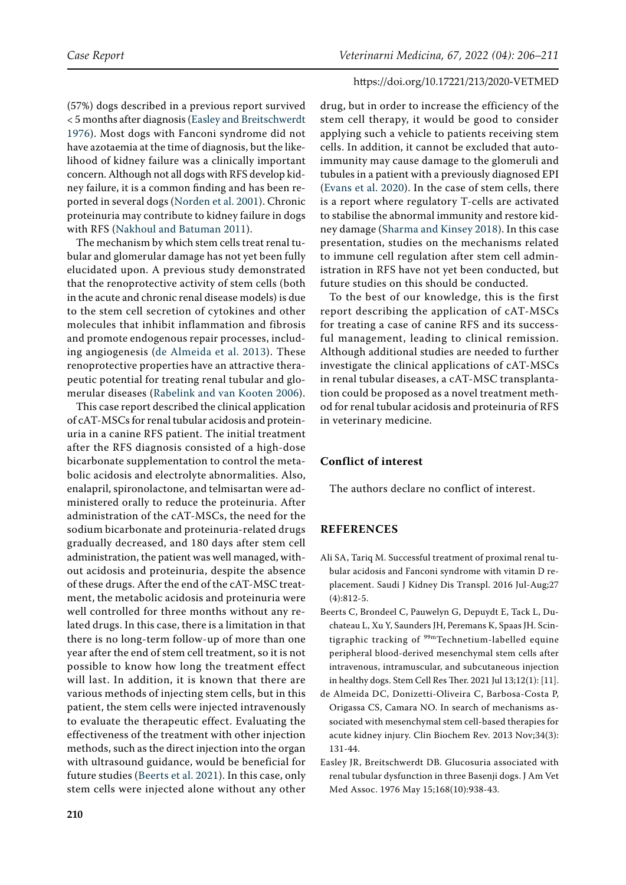(57%) dogs described in a previous report survived < 5 months after diagnosis ([Easley and Breitschwerdt](#page-4-1)  [1976\)](#page-4-1). Most dogs with Fanconi syndrome did not have azotaemia at the time of diagnosis, but the likelihood of kidney failure was a clinically important concern. Although not all dogs with RFS develop kidney failure, it is a common finding and has been reported in several dogs ([Norden et al. 2001](#page-5-11)). Chronic proteinuria may contribute to kidney failure in dogs with RFS ([Nakhoul and Batuman 2011](#page-5-12)).

The mechanism by which stem cells treat renal tubular and glomerular damage has not yet been fully elucidated upon. A previous study demonstrated that the renoprotective activity of stem cells (both in the acute and chronic renal disease models) is due to the stem cell secretion of cytokines and other molecules that inhibit inflammation and fibrosis and promote endogenous repair processes, including angiogenesis ([de Almeida et al. 2013](#page-4-2)). These renoprotective properties have an attractive therapeutic potential for treating renal tubular and glomerular diseases ([Rabelink and van Kooten 2006](#page-5-13)).

This case report described the clinical application of cAT-MSCs for renal tubular acidosis and proteinuria in a canine RFS patient. The initial treatment after the RFS diagnosis consisted of a high-dose bicarbonate supplementation to control the metabolic acidosis and electrolyte abnormalities. Also, enalapril, spironolactone, and telmisartan were administered orally to reduce the proteinuria. After administration of the cAT-MSCs, the need for the sodium bicarbonate and proteinuria-related drugs gradually decreased, and 180 days after stem cell administration, the patient was well managed, without acidosis and proteinuria, despite the absence of these drugs. After the end of the cAT-MSC treatment, the metabolic acidosis and proteinuria were well controlled for three months without any related drugs. In this case, there is a limitation in that there is no long-term follow-up of more than one year after the end of stem cell treatment, so it is not possible to know how long the treatment effect will last. In addition, it is known that there are various methods of injecting stem cells, but in this patient, the stem cells were injected intravenously to evaluate the therapeutic effect. Evaluating the effectiveness of the treatment with other injection methods, such as the direct injection into the organ with ultrasound guidance, would be beneficial for future studies [\(Beerts et al. 2021\)](#page-4-3). In this case, only stem cells were injected alone without any other drug, but in order to increase the efficiency of the stem cell therapy, it would be good to consider applying such a vehicle to patients receiving stem cells. In addition, it cannot be excluded that autoimmunity may cause damage to the glomeruli and tubules in a patient with a previously diagnosed EPI [\(Evans et al. 2020](#page-5-14)). In the case of stem cells, there is a report where regulatory T-cells are activated to stabilise the abnormal immunity and restore kidney damage [\(Sharma and Kinsey 2018\)](#page-5-15). In this case presentation, studies on the mechanisms related to immune cell regulation after stem cell administration in RFS have not yet been conducted, but future studies on this should be conducted.

To the best of our knowledge, this is the first report describing the application of cAT-MSCs for treating a case of canine RFS and its successful management, leading to clinical remission. Although additional studies are needed to further investigate the clinical applications of cAT-MSCs in renal tubular diseases, a cAT-MSC transplantation could be proposed as a novel treatment method for renal tubular acidosis and proteinuria of RFS in veterinary medicine.

# **Conflict of interest**

The authors declare no conflict of interest.

## **REFERENCES**

- <span id="page-4-0"></span>Ali SA, Tariq M. Successful treatment of proximal renal tubular acidosis and Fanconi syndrome with vitamin D replacement. Saudi J Kidney Dis Transpl. 2016 Jul-Aug;27 (4):812-5.
- <span id="page-4-3"></span>Beerts C, Brondeel C, Pauwelyn G, Depuydt E, Tack L, Duchateau L, Xu Y, Saunders JH, Peremans K, Spaas JH. Scintigraphic tracking of <sup>99m</sup>Technetium-labelled equine peripheral blood-derived mesenchymal stem cells after intravenous, intramuscular, and subcutaneous injection in healthy dogs. Stem Cell Res Ther. 2021 Jul 13;12(1): [11].
- <span id="page-4-2"></span>de Almeida DC, Donizetti-Oliveira C, Barbosa-Costa P, Origassa CS, Camara NO. In search of mechanisms associated with mesenchymal stem cell-based therapies for acute kidney injury. Clin Biochem Rev. 2013 Nov;34(3): 131-44.
- <span id="page-4-1"></span>Easley JR, Breitschwerdt DB. Glucosuria associated with renal tubular dysfunction in three Basenji dogs. J Am Vet Med Assoc. 1976 May 15;168(10):938-43.